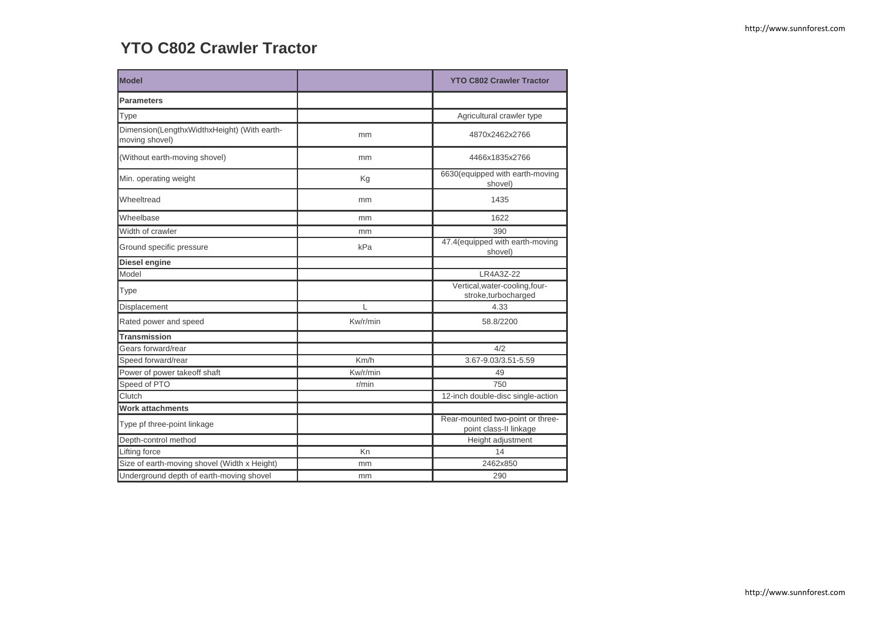## **YTO C802 Crawler Tractor**

| <b>Model</b>                                                  |          | <b>YTO C802 Crawler Tractor</b>                            |
|---------------------------------------------------------------|----------|------------------------------------------------------------|
| <b>Parameters</b>                                             |          |                                                            |
| Type                                                          |          | Agricultural crawler type                                  |
| Dimension(LengthxWidthxHeight) (With earth-<br>moving shovel) | mm       | 4870x2462x2766                                             |
| (Without earth-moving shovel)                                 | mm       | 4466x1835x2766                                             |
| Min. operating weight                                         | Kg       | 6630(equipped with earth-moving<br>shovel)                 |
| Wheeltread                                                    | mm       | 1435                                                       |
| Wheelbase                                                     | mm       | 1622                                                       |
| Width of crawler                                              | mm       | 390                                                        |
| Ground specific pressure                                      | kPa      | 47.4(equipped with earth-moving<br>shovel)                 |
| Diesel engine                                                 |          |                                                            |
| Model                                                         |          | LR4A3Z-22                                                  |
| Type                                                          |          | Vertical, water-cooling, four-<br>stroke,turbocharged      |
| Displacement                                                  | L        | 4.33                                                       |
| Rated power and speed                                         | Kw/r/min | 58.8/2200                                                  |
| <b>Transmission</b>                                           |          |                                                            |
| Gears forward/rear                                            |          | 4/2                                                        |
| Speed forward/rear                                            | Km/h     | 3.67-9.03/3.51-5.59                                        |
| Power of power takeoff shaft                                  | Kw/r/min | 49                                                         |
| Speed of PTO                                                  | r/min    | 750                                                        |
| Clutch                                                        |          | 12-inch double-disc single-action                          |
| <b>Work attachments</b>                                       |          |                                                            |
| Type pf three-point linkage                                   |          | Rear-mounted two-point or three-<br>point class-II linkage |
| Depth-control method                                          |          | Height adjustment                                          |
| Lifting force                                                 | Kn       | 14                                                         |
| Size of earth-moving shovel (Width x Height)                  | mm       | 2462x850                                                   |
| Underground depth of earth-moving shovel                      | mm       | 290                                                        |